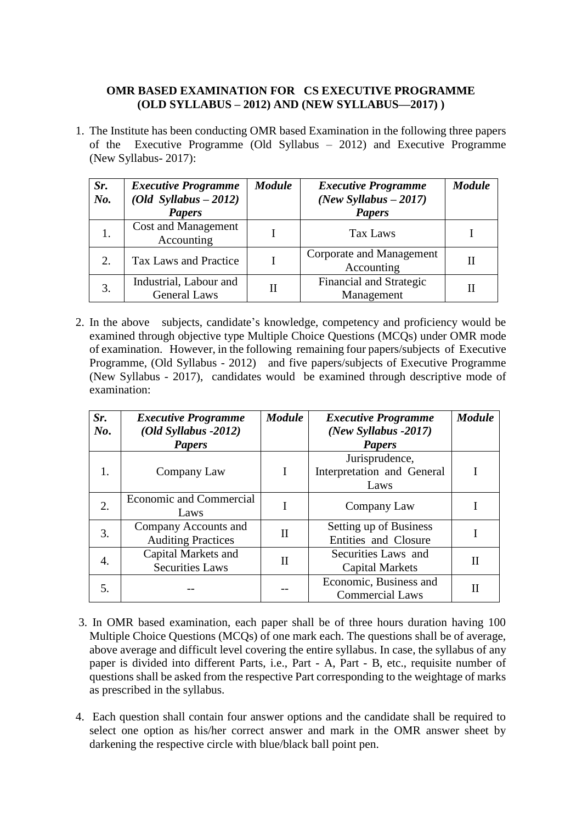## **OMR BASED EXAMINATION FOR CS EXECUTIVE PROGRAMME (OLD SYLLABUS – 2012) AND (NEW SYLLABUS—2017) )**

1. The Institute has been conducting OMR based Examination in the following three papers of the Executive Programme (Old Syllabus – 2012) and Executive Programme (New Syllabus- 2017):

| Sr.<br>No. | <b>Executive Programme</b><br>$(Old Syllabus - 2012)$<br><b>Papers</b> | <b>Module</b> | <b>Executive Programme</b><br>(New Syllabus $-2017$ )<br><b>Papers</b> | <b>Module</b> |
|------------|------------------------------------------------------------------------|---------------|------------------------------------------------------------------------|---------------|
|            | <b>Cost and Management</b><br>Accounting                               |               | Tax Laws                                                               |               |
| 2.         | Tax Laws and Practice                                                  |               | Corporate and Management<br>Accounting                                 |               |
| 3.         | Industrial, Labour and<br><b>General Laws</b>                          |               | Financial and Strategic<br>Management                                  |               |

2. In the above subjects, candidate's knowledge, competency and proficiency would be examined through objective type Multiple Choice Questions (MCQs) under OMR mode of examination. However, in the following remaining four papers/subjects of Executive Programme, (Old Syllabus - 2012) and five papers/subjects of Executive Programme (New Syllabus - 2017), candidates would be examined through descriptive mode of examination:

| Sr.<br>$N\boldsymbol{o}$ . | <b>Executive Programme</b><br>$(Old Syllabus -2012)$<br><b>Papers</b> | <b>Module</b> | <b>Executive Programme</b><br>(New Syllabus -2017)<br><b>Papers</b> | <b>Module</b> |
|----------------------------|-----------------------------------------------------------------------|---------------|---------------------------------------------------------------------|---------------|
| 1.                         | Company Law                                                           |               | Jurisprudence,<br>Interpretation and General<br>Laws                |               |
| 2.                         | Economic and Commercial<br>Laws                                       |               | Company Law                                                         |               |
| 3.                         | Company Accounts and<br><b>Auditing Practices</b>                     | Π             | Setting up of Business<br>Entities and Closure                      |               |
| 4.                         | Capital Markets and<br><b>Securities Laws</b>                         | $_{\rm II}$   | Securities Laws and<br><b>Capital Markets</b>                       | Н             |
| 5.                         |                                                                       |               | Economic, Business and<br><b>Commercial Laws</b>                    | Н             |

- 3. In OMR based examination, each paper shall be of three hours duration having 100 Multiple Choice Questions (MCQs) of one mark each. The questions shall be of average, above average and difficult level covering the entire syllabus. In case, the syllabus of any paper is divided into different Parts, i.e., Part - A, Part - B, etc., requisite number of questions shall be asked from the respective Part corresponding to the weightage of marks as prescribed in the syllabus.
- 4. Each question shall contain four answer options and the candidate shall be required to select one option as his/her correct answer and mark in the OMR answer sheet by darkening the respective circle with blue/black ball point pen.